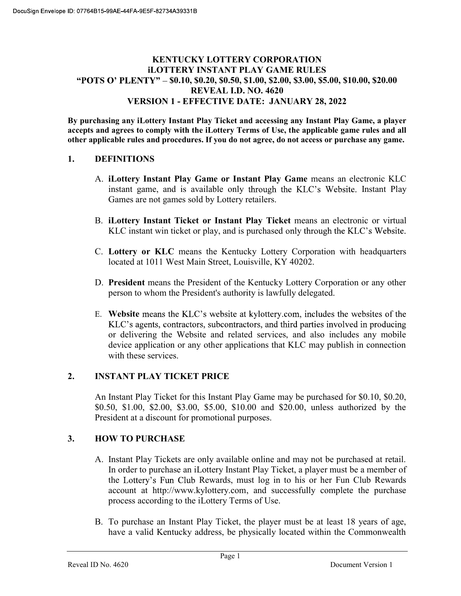### KENTUCKY LOTTERY CORPORATION iLOTTERY INSTANT PLAY GAME RULES "POTS O' PLENTY" - \$0.10, \$0.20, \$0.50, \$1.00, \$2.00, \$3.00, \$5.00, \$10.00, \$20.00 REVEAL I.D. NO. 4620 VERSION 1 - EFFECTIVE DATE: JANUARY 28, 2022

By purchasing any iLottery Instant Play Ticket and accessing any Instant Play Game, a player accepts and agrees to comply with the iLottery Terms of Use, the applicable game rules and all other applicable rules and procedures. If you do not agree, do not access or purchase any game.

### 1. DEFINITIONS

- A. iLottery Instant Play Game or Instant Play Game means an electronic KLC instant game, and is available only through the KLC's Website. Instant Play Games are not games sold by Lottery retailers.
- B. iLottery Instant Ticket or Instant Play Ticket means an electronic or virtual KLC instant win ticket or play, and is purchased only through the KLC's Website.
- C. Lottery or KLC means the Kentucky Lottery Corporation with headquarters located at 1011 West Main Street, Louisville, KY 40202.
- D. President means the President of the Kentucky Lottery Corporation or any other person to whom the President's authority is lawfully delegated.
- E. Website means the KLC's website at kylottery.com, includes the websites of the KLC's agents, contractors, subcontractors, and third parties involved in producing or delivering the Website and related services, and also includes any mobile device application or any other applications that KLC may publish in connection with these services.

### 2. INSTANT PLAY TICKET PRICE

An Instant Play Ticket for this Instant Play Game may be purchased for \$0.10, \$0.20, \$0.50, \$1.00, \$2.00, \$3.00, \$5.00, \$10.00 and \$20.00, unless authorized by the President at a discount for promotional purposes.

## 3. HOW TO PURCHASE

- A. Instant Play Tickets are only available online and may not be purchased at retail. In order to purchase an iLottery Instant Play Ticket, a player must be a member of the Lottery's Fun Club Rewards, must log in to his or her Fun Club Rewards account at http://www.kylottery.com, and successfully complete the purchase process according to the iLottery Terms of Use.
- B. To purchase an Instant Play Ticket, the player must be at least 18 years of age, have a valid Kentucky address, be physically located within the Commonwealth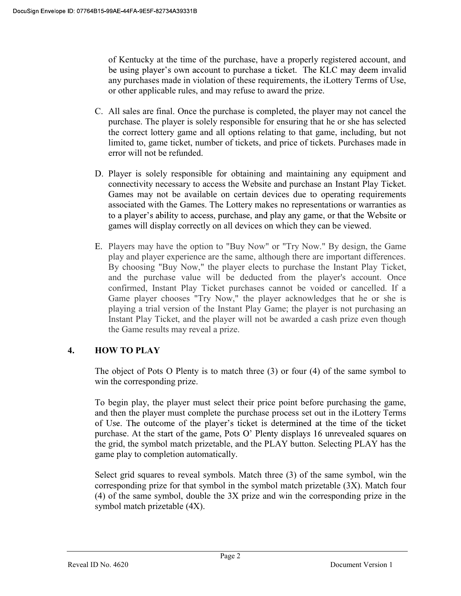of Kentucky at the time of the purchase, have a properly registered account, and be using player's own account to purchase a ticket. The KLC may deem invalid any purchases made in violation of these requirements, the iLottery Terms of Use, or other applicable rules, and may refuse to award the prize.

- C. All sales are final. Once the purchase is completed, the player may not cancel the purchase. The player is solely responsible for ensuring that he or she has selected the correct lottery game and all options relating to that game, including, but not limited to, game ticket, number of tickets, and price of tickets. Purchases made in error will not be refunded.
- D. Player is solely responsible for obtaining and maintaining any equipment and connectivity necessary to access the Website and purchase an Instant Play Ticket. Games may not be available on certain devices due to operating requirements associated with the Games. The Lottery makes no representations or warranties as to a player's ability to access, purchase, and play any game, or that the Website or games will display correctly on all devices on which they can be viewed.
- E. Players may have the option to "Buy Now" or "Try Now." By design, the Game play and player experience are the same, although there are important differences. By choosing "Buy Now," the player elects to purchase the Instant Play Ticket, and the purchase value will be deducted from the player's account. Once confirmed, Instant Play Ticket purchases cannot be voided or cancelled. If a Game player chooses "Try Now," the player acknowledges that he or she is playing a trial version of the Instant Play Game; the player is not purchasing an Instant Play Ticket, and the player will not be awarded a cash prize even though the Game results may reveal a prize.

# 4. HOW TO PLAY

The object of Pots O Plenty is to match three (3) or four (4) of the same symbol to win the corresponding prize.

To begin play, the player must select their price point before purchasing the game, and then the player must complete the purchase process set out in the iLottery Terms of Use. The outcome of the player's ticket is determined at the time of the ticket purchase. At the start of the game, Pots  $O'$  Plenty displays 16 unrevealed squares on the grid, the symbol match prizetable, and the PLAY button. Selecting PLAY has the game play to completion automatically.

Select grid squares to reveal symbols. Match three (3) of the same symbol, win the corresponding prize for that symbol in the symbol match prizetable (3X). Match four (4) of the same symbol, double the 3X prize and win the corresponding prize in the symbol match prizetable (4X).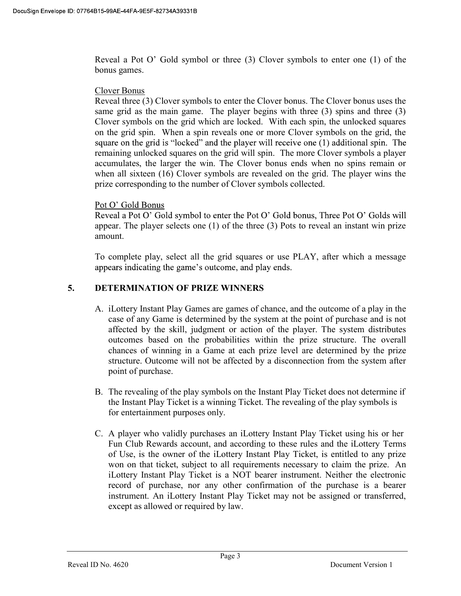Reveal a Pot O' Gold symbol or three  $(3)$  Clover symbols to enter one  $(1)$  of the bonus games.

#### Clover Bonus

Reveal three (3) Clover symbols to enter the Clover bonus. The Clover bonus uses the same grid as the main game. The player begins with three (3) spins and three (3) Clover symbols on the grid which are locked. With each spin, the unlocked squares on the grid spin. When a spin reveals one or more Clover symbols on the grid, the square on the grid is "locked" and the player will receive one (1) additional spin. The remaining unlocked squares on the grid will spin. The more Clover symbols a player accumulates, the larger the win. The Clover bonus ends when no spins remain or when all sixteen (16) Clover symbols are revealed on the grid. The player wins the prize corresponding to the number of Clover symbols collected.

### Pot O' Gold Bonus

Reveal a Pot O' Gold symbol to enter the Pot O' Gold bonus, Three Pot O' Golds will appear. The player selects one (1) of the three (3) Pots to reveal an instant win prize amount.

To complete play, select all the grid squares or use PLAY, after which a message appears indicating the game's outcome, and play ends.

## 5. DETERMINATION OF PRIZE WINNERS

- A. iLottery Instant Play Games are games of chance, and the outcome of a play in the case of any Game is determined by the system at the point of purchase and is not affected by the skill, judgment or action of the player. The system distributes outcomes based on the probabilities within the prize structure. The overall chances of winning in a Game at each prize level are determined by the prize structure. Outcome will not be affected by a disconnection from the system after point of purchase.
- B. The revealing of the play symbols on the Instant Play Ticket does not determine if the Instant Play Ticket is a winning Ticket. The revealing of the play symbols is for entertainment purposes only.
- C. A player who validly purchases an iLottery Instant Play Ticket using his or her Fun Club Rewards account, and according to these rules and the iLottery Terms of Use, is the owner of the iLottery Instant Play Ticket, is entitled to any prize won on that ticket, subject to all requirements necessary to claim the prize. An iLottery Instant Play Ticket is a NOT bearer instrument. Neither the electronic record of purchase, nor any other confirmation of the purchase is a bearer instrument. An iLottery Instant Play Ticket may not be assigned or transferred, except as allowed or required by law.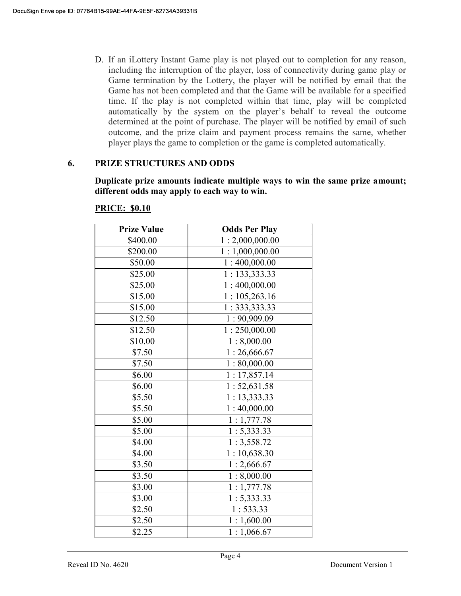D. If an iLottery Instant Game play is not played out to completion for any reason, including the interruption of the player, loss of connectivity during game play or Game termination by the Lottery, the player will be notified by email that the Game has not been completed and that the Game will be available for a specified time. If the play is not completed within that time, play will be completed automatically by the system on the player's behalf to reveal the outcome determined at the point of purchase. The player will be notified by email of such outcome, and the prize claim and payment process remains the same, whether player plays the game to completion or the game is completed automatically.

### 6. PRIZE STRUCTURES AND ODDS

Duplicate prize amounts indicate multiple ways to win the same prize amount; different odds may apply to each way to win.

| <b>Prize Value</b> | <b>Odds Per Play</b> |
|--------------------|----------------------|
| \$400.00           | 1:2,000,000.00       |
| \$200.00           | 1:1,000,000.00       |
| \$50.00            | 1:400,000.00         |
| \$25.00            | 1: 133,333.33        |
| \$25.00            | 1:400,000.00         |
| \$15.00            | 1:105,263.16         |
| \$15.00            | 1:333,333.33         |
| \$12.50            | 1:90,909.09          |
| \$12.50            | 1:250,000.00         |
| \$10.00            | 1:8,000.00           |
| \$7.50             | 1:26,666.67          |
| \$7.50             | 1:80,000.00          |
| \$6.00             | 1:17,857.14          |
| \$6.00             | 1:52,631.58          |
| \$5.50             | 1:13,333.33          |
| \$5.50             | 1:40,000.00          |
| \$5.00             | 1:1,777.78           |
| \$5.00             | 1: 5,333.33          |
| \$4.00             | 1:3,558.72           |
| \$4.00             | 1:10,638.30          |
| \$3.50             | 1:2,666.67           |
| \$3.50             | 1:8,000.00           |
| \$3.00             | 1:1,777.78           |
| \$3.00             | 1: 5,333.33          |
| \$2.50             | 1:533.33             |
| \$2.50             | 1:1,600.00           |
| \$2.25             | 1:1,066.67           |

#### PRICE: \$0.10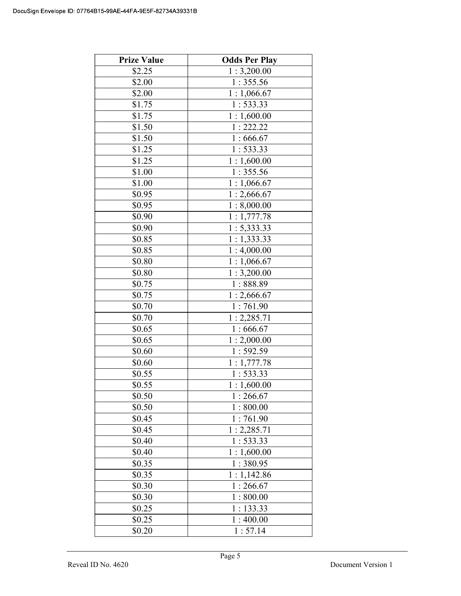| <b>Prize Value</b> | <b>Odds Per Play</b> |
|--------------------|----------------------|
| \$2.25             | 1:3,200.00           |
| \$2.00             | 1:355.56             |
| \$2.00             | 1:1,066.67           |
| \$1.75             | 1:533.33             |
| \$1.75             | 1:1,600.00           |
| \$1.50             | 1:222.22             |
| \$1.50             | 1:666.67             |
| \$1.25             | 1:533.33             |
| \$1.25             | 1:1,600.00           |
| \$1.00             | 1:355.56             |
| \$1.00             | 1:1,066.67           |
| \$0.95             | 1:2,666.67           |
| \$0.95             | 1:8,000.00           |
| \$0.90             | 1:1,777.78           |
| \$0.90             | 1: 5,333.33          |
| \$0.85             | 1:1,333.33           |
| \$0.85             | 1:4,000.00           |
| \$0.80             | 1:1,066.67           |
| \$0.80             | 1:3,200.00           |
| $\overline{$}0.75$ | 1:888.89             |
| \$0.75             | 1:2,666.67           |
| \$0.70             | 1:761.90             |
| \$0.70             | 1:2,285.71           |
| \$0.65             | 1:666.67             |
| \$0.65             | 1:2,000.00           |
| \$0.60             | 1:592.59             |
| \$0.60             | 1:1,777.78           |
| \$0.55             | 1:533.33             |
| \$0.55             | 1:1,600.00           |
| \$0.50             | 1:266.67             |
| \$0.50             | 1:800.00             |
| \$0.45             | 1:761.90             |
| \$0.45             | 1:2,285.71           |
| \$0.40             | 1:533.33             |
| \$0.40             | 1:1,600.00           |
| \$0.35             | 1:380.95             |
| \$0.35             | 1:1,142.86           |
| \$0.30             | 1:266.67             |
| \$0.30             | 1:800.00             |
| \$0.25             | 1:133.33             |
| \$0.25             | 1:400.00             |
| \$0.20             | 1:57.14              |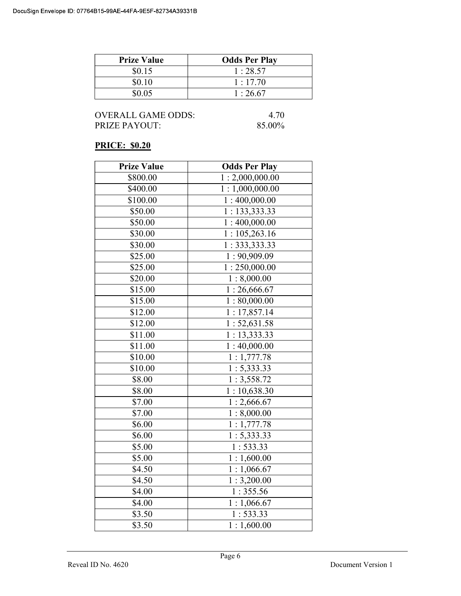| <b>Prize Value</b> | <b>Odds Per Play</b> |
|--------------------|----------------------|
| \$0.15             | 1:28.57              |
| \$0.10             | 1:17.70              |
| \$0.05             | 1:26.67              |

### PRICE: \$0.20

| <b>Prize Value</b> | <b>Odds Per Play</b> |
|--------------------|----------------------|
| \$800.00           | 1:2,000,000.00       |
| \$400.00           | 1:1,000,000.00       |
| \$100.00           | 1:400,000.00         |
| \$50.00            | 1: 133,333.33        |
| \$50.00            | 1:400,000.00         |
| \$30.00            | 1:105,263.16         |
| \$30.00            | 1:333,333.33         |
| \$25.00            | 1:90,909.09          |
| \$25.00            | 1:250,000.00         |
| \$20.00            | 1:8,000.00           |
| \$15.00            | 1:26,666.67          |
| \$15.00            | 1:80,000.00          |
| \$12.00            | 1:17,857.14          |
| \$12.00            | 1:52,631.58          |
| \$11.00            | 1:13,333.33          |
| \$11.00            | 1:40,000.00          |
| \$10.00            | 1:1,777.78           |
| \$10.00            | 1: 5,333.33          |
| \$8.00             | 1:3,558.72           |
| \$8.00             | 1:10,638.30          |
| \$7.00             | 1:2,666.67           |
| \$7.00             | 1:8,000.00           |
| \$6.00             | 1:1,777.78           |
| \$6.00             | 1: 5,333.33          |
| \$5.00             | 1:533.33             |
| \$5.00             | 1:1,600.00           |
| \$4.50             | 1:1,066.67           |
| \$4.50             | 1:3,200.00           |
| \$4.00             | 1:355.56             |
| \$4.00             | 1:1,066.67           |
| \$3.50             | 1:533.33             |
| \$3.50             | 1:1,600.00           |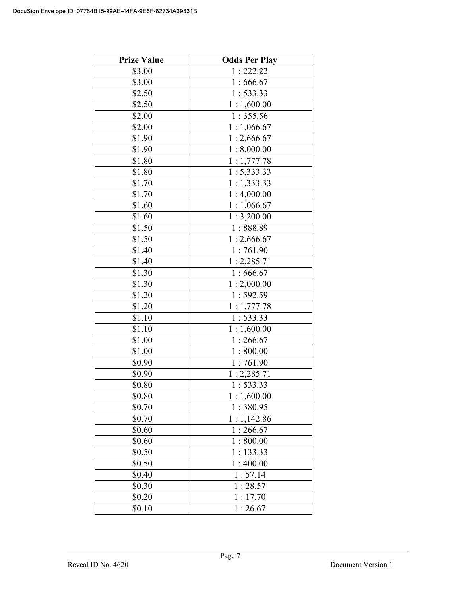| <b>Prize Value</b> | <b>Odds Per Play</b>      |
|--------------------|---------------------------|
| \$3.00             | 1:222.22                  |
| \$3.00             | 1:666.67                  |
| \$2.50             | 1:533.33                  |
| \$2.50             | 1:1,600.00                |
| \$2.00             | 1:355.56                  |
| \$2.00             | 1:1,066.67                |
| \$1.90             | 1:2,666.67                |
| \$1.90             | 1:8,000.00                |
| \$1.80             | 1:1,777.78                |
| \$1.80             | 1: 5,333.33               |
| \$1.70             | 1:1,333.33                |
| \$1.70             | 1:4,000.00                |
| \$1.60             | 1:1,066.67                |
| \$1.60             | 1:3,200.00                |
| \$1.50             | 1:888.89                  |
| \$1.50             | $\overline{1}$ : 2,666.67 |
| \$1.40             | 1:761.90                  |
| \$1.40             | 1:2,285.71                |
| \$1.30             | 1:666.67                  |
| \$1.30             | 1:2,000.00                |
| \$1.20             | 1:592.59                  |
| \$1.20             | 1:1,777.78                |
| \$1.10             | 1:533.33                  |
| \$1.10             | 1:1,600.00                |
| \$1.00             | 1:266.67                  |
| \$1.00             | 1:800.00                  |
| \$0.90             | 1:761.90                  |
| \$0.90             | 1:2,285.71                |
| \$0.80             | 1:533.33                  |
| \$0.80             | 1:1,600.00                |
| \$0.70             | 1:380.95                  |
| \$0.70             | 1:1,142.86                |
| \$0.60             | 1:266.67                  |
| \$0.60             | 1:800.00                  |
| \$0.50             | 1:133.33                  |
| \$0.50             | 1:400.00                  |
| \$0.40             | 1:57.14                   |
| \$0.30             | 1:28.57                   |
| \$0.20             | 1:17.70                   |
| \$0.10             | 1:26.67                   |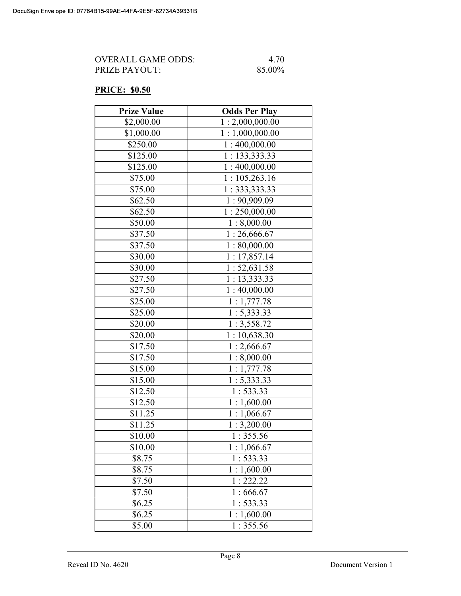| OVERALL GAME ODDS:   | 4.70   |
|----------------------|--------|
| <b>PRIZE PAYOUT:</b> | 85.00% |

### PRICE: \$0.50

| <b>Prize Value</b> | <b>Odds Per Play</b> |
|--------------------|----------------------|
| \$2,000.00         | 1:2,000,000.00       |
| \$1,000.00         | 1:1,000,000.00       |
| \$250.00           | 1:400,000.00         |
| \$125.00           | 1:133,333.33         |
| \$125.00           | 1:400,000.00         |
| \$75.00            | 1:105,263.16         |
| \$75.00            | 1: 333, 333.33       |
| \$62.50            | 1:90,909.09          |
| \$62.50            | 1:250,000.00         |
| \$50.00            | 1:8,000.00           |
| \$37.50            | 1:26,666.67          |
| \$37.50            | 1:80,000.00          |
| \$30.00            | 1:17,857.14          |
| \$30.00            | 1:52,631.58          |
| \$27.50            | 1:13,333.33          |
| \$27.50            | 1:40,000.00          |
| \$25.00            | 1:1,777.78           |
| \$25.00            | 1: 5,333.33          |
| \$20.00            | 1:3,558.72           |
| \$20.00            | 1:10,638.30          |
| \$17.50            | 1:2,666.67           |
| \$17.50            | 1:8,000.00           |
| \$15.00            | 1:1,777.78           |
| \$15.00            | 1: 5,333.33          |
| \$12.50            | 1:533.33             |
| \$12.50            | 1:1,600.00           |
| \$11.25            | 1:1,066.67           |
| \$11.25            | 1:3,200.00           |
| \$10.00            | 1:355.56             |
| \$10.00            | 1:1,066.67           |
| \$8.75             | 1:533.33             |
| \$8.75             | 1:1,600.00           |
| \$7.50             | 1:222.22             |
| \$7.50             | 1:666.67             |
| \$6.25             | 1:533.33             |
| \$6.25             | 1:1,600.00           |
| \$5.00             | 1:355.56             |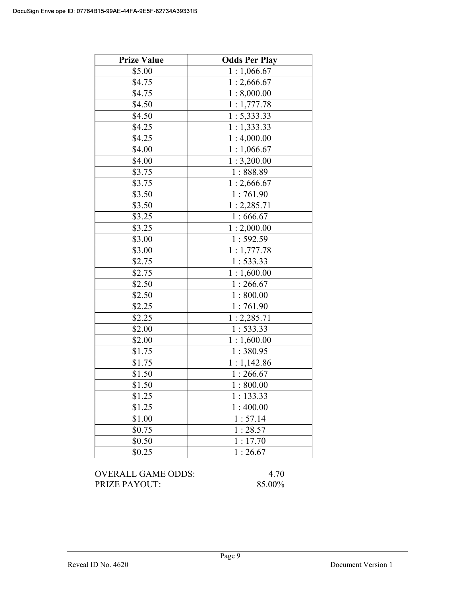| <b>Prize Value</b> | <b>Odds Per Play</b> |
|--------------------|----------------------|
| \$5.00             | 1:1,066.67           |
| \$4.75             | 1:2,666.67           |
| \$4.75             | 1:8,000.00           |
| \$4.50             | 1:1,777.78           |
| \$4.50             | 1: 5,333.33          |
| \$4.25             | 1:1,333.33           |
| \$4.25             | 1:4,000.00           |
| \$4.00             | 1:1,066.67           |
| \$4.00             | 1:3,200.00           |
| \$3.75             | 1:888.89             |
| \$3.75             | 1:2,666.67           |
| \$3.50             | 1:761.90             |
| \$3.50             | 1:2,285.71           |
| \$3.25             | 1:666.67             |
| \$3.25             | 1:2,000.00           |
| \$3.00             | 1:592.59             |
| \$3.00             | 1:1,777.78           |
| \$2.75             | 1:533.33             |
| \$2.75             | 1:1,600.00           |
| \$2.50             | 1:266.67             |
| \$2.50             | 1:800.00             |
| \$2.25             | 1:761.90             |
| \$2.25             | 1:2,285.71           |
| \$2.00             | 1:533.33             |
| \$2.00             | 1:1,600.00           |
| \$1.75             | 1:380.95             |
| \$1.75             | 1:1,142.86           |
| \$1.50             | 1:266.67             |
| \$1.50             | 1:800.00             |
| \$1.25             | 1:133.33             |
| \$1.25             | 1:400.00             |
| \$1.00             | 1:57.14              |
| \$0.75             | 1:28.57              |
| \$0.50             | 1:17.70              |
| \$0.25             | 1:26.67              |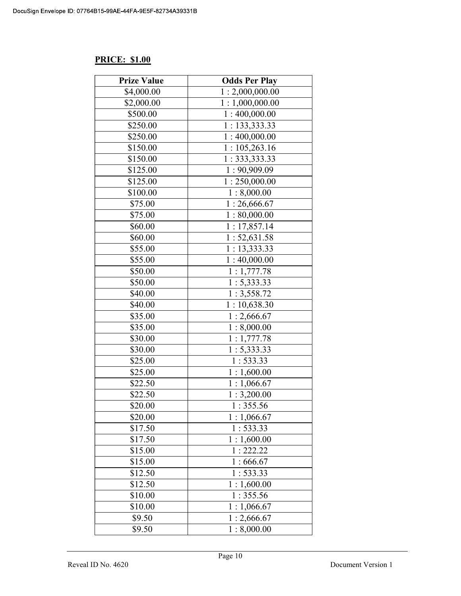## PRICE: \$1.00

| <b>Prize Value</b> | <b>Odds Per Play</b>        |
|--------------------|-----------------------------|
| \$4,000.00         | 1:2,000,000.00              |
| \$2,000.00         | 1:1,000,000.00              |
| \$500.00           | $\overline{1}$ : 400,000.00 |
| \$250.00           | 1: 133,333.33               |
| \$250.00           | 1:400,000.00                |
| \$150.00           | 1:105,263.16                |
| \$150.00           | 1: 333, 333.33              |
| \$125.00           | 1:90,909.09                 |
| \$125.00           | 1:250,000.00                |
| \$100.00           | 1:8,000.00                  |
| \$75.00            | 1:26,666.67                 |
| \$75.00            | 1:80,000.00                 |
| \$60.00            | 1:17,857.14                 |
| \$60.00            | 1:52,631.58                 |
| \$55.00            | 1: 13, 333.33               |
| \$55.00            | 1:40,000.00                 |
| \$50.00            | 1:1,777.78                  |
| \$50.00            | 1: 5,333.33                 |
| \$40.00            | 1:3,558.72                  |
| \$40.00            | 1:10,638.30                 |
| \$35.00            | 1:2,666.67                  |
| \$35.00            | 1:8,000.00                  |
| \$30.00            | 1:1,777.78                  |
| \$30.00            | 1: 5,333.33                 |
| \$25.00            | 1:533.33                    |
| \$25.00            | 1:1,600.00                  |
| \$22.50            | 1:1,066.67                  |
| \$22.50            | 1:3,200.00                  |
| \$20.00            | 1:355.56                    |
| \$20.00            | 1:1,066.67                  |
| \$17.50            | 1:533.33                    |
| \$17.50            | 1:1,600.00                  |
| \$15.00            | 1:222.22                    |
| \$15.00            | 1:666.67                    |
| \$12.50            | 1:533.33                    |
| \$12.50            | 1:1,600.00                  |
| \$10.00            | 1:355.56                    |
| \$10.00            | 1:1,066.67                  |
| \$9.50             | 1:2,666.67                  |
| \$9.50             | 1:8,000.00                  |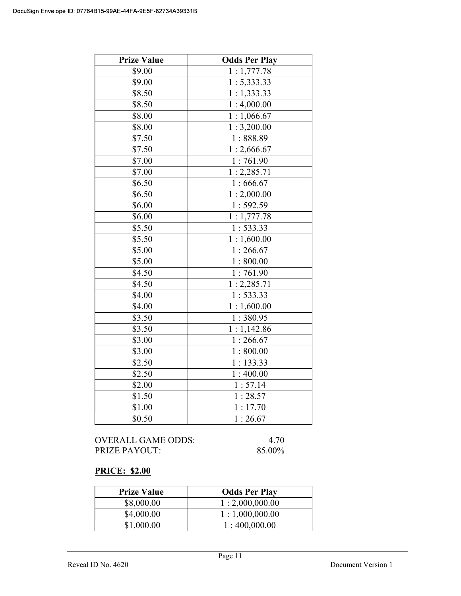| <b>Prize Value</b> | <b>Odds Per Play</b>    |
|--------------------|-------------------------|
| \$9.00             | $\overline{1:1,777.78}$ |
| \$9.00             | 1: 5,333.33             |
| \$8.50             | 1:1,333.33              |
| \$8.50             | 1:4,000.00              |
| \$8.00             | 1:1,066.67              |
| \$8.00             | 1:3,200.00              |
| \$7.50             | 1:888.89                |
| \$7.50             | 1:2,666.67              |
| \$7.00             | 1:761.90                |
| \$7.00             | 1: 2,285.71             |
| \$6.50             | 1:666.67                |
| \$6.50             | 1:2,000.00              |
| \$6.00             | 1:592.59                |
| \$6.00             | 1:1,777.78              |
| \$5.50             | 1:533.33                |
| \$5.50             | 1:1,600.00              |
| \$5.00             | 1:266.67                |
| \$5.00             | 1:800.00                |
| \$4.50             | 1:761.90                |
| \$4.50             | 1:2,285.71              |
| \$4.00             | 1:533.33                |
| \$4.00             | 1:1,600.00              |
| \$3.50             | 1:380.95                |
| \$3.50             | 1:1,142.86              |
| \$3.00             | 1:266.67                |
| \$3.00             | 1:800.00                |
| \$2.50             | 1:133.33                |
| \$2.50             | 1:400.00                |
| \$2.00             | 1:57.14                 |
| \$1.50             | 1:28.57                 |
| \$1.00             | 1:17.70                 |
| \$0.50             | 1:26.67                 |

## PRICE: \$2.00

| <b>Prize Value</b> | <b>Odds Per Play</b> |
|--------------------|----------------------|
| \$8,000.00         | 1:2,000,000.00       |
| \$4,000.00         | 1:1,000,000.00       |
| \$1,000.00         | 1:400,000.00         |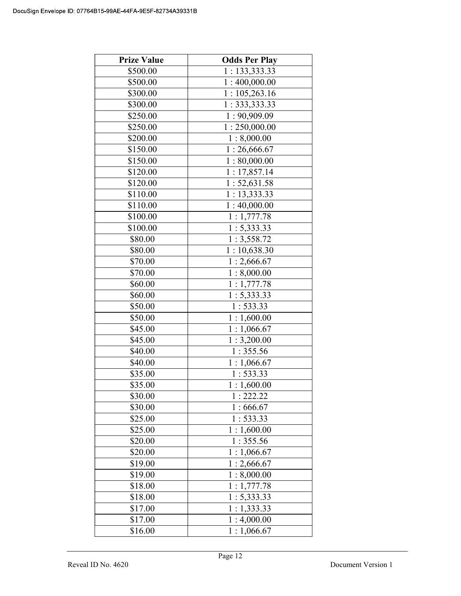| <b>Prize Value</b> | <b>Odds Per Play</b>      |
|--------------------|---------------------------|
| \$500.00           | 1: 133,333.33             |
| \$500.00           | 1:400,000.00              |
| \$300.00           | 1:105,263.16              |
| \$300.00           | 1: 333, 333.33            |
| \$250.00           | 1:90,909.09               |
| \$250.00           | 1:250,000.00              |
| \$200.00           | 1:8,000.00                |
| \$150.00           | 1:26,666.67               |
| \$150.00           | 1:80,000.00               |
| \$120.00           | 1:17,857.14               |
| \$120.00           | 1: 52, 631.58             |
| \$110.00           | 1:13,333.33               |
| \$110.00           | 1:40,000.00               |
| \$100.00           | 1:1,777.78                |
| \$100.00           | 1: 5,333.33               |
| \$80.00            | $\overline{1}$ : 3,558.72 |
| \$80.00            | 1:10,638.30               |
| \$70.00            | 1:2,666.67                |
| \$70.00            | 1:8,000.00                |
| \$60.00            | 1:1,777.78                |
| \$60.00            | 1: 5,333.33               |
| \$50.00            | 1:533.33                  |
| \$50.00            | 1:1,600.00                |
| \$45.00            | 1:1,066.67                |
| \$45.00            | 1:3,200.00                |
| \$40.00            | 1:355.56                  |
| \$40.00            | 1:1,066.67                |
| \$35.00            | 1:533.33                  |
| \$35.00            | 1:1,600.00                |
| \$30.00            | 1:222.22                  |
| \$30.00            | 1:666.67                  |
| \$25.00            | 1:533.33                  |
| \$25.00            | 1:1,600.00                |
| \$20.00            | 1:355.56                  |
| \$20.00            | 1:1,066.67                |
| \$19.00            | 1:2,666.67                |
| \$19.00            | 1:8,000.00                |
| \$18.00            | 1:1,777.78                |
| \$18.00            | 1: 5,333.33               |
| \$17.00            | 1:1,333.33                |
| \$17.00            | 1:4,000.00                |
| \$16.00            | 1:1,066.67                |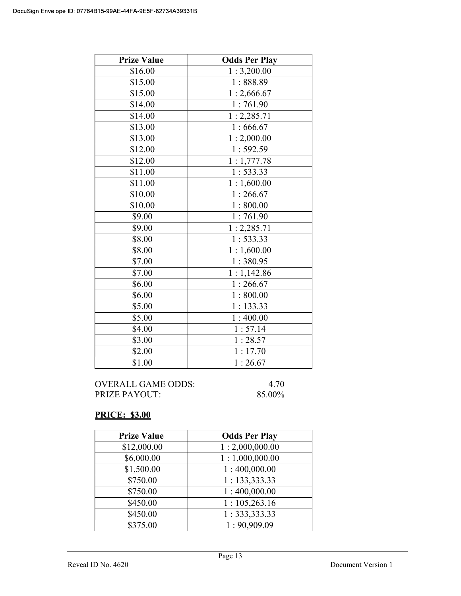| <b>Prize Value</b>  | <b>Odds Per Play</b> |
|---------------------|----------------------|
| \$16.00             | 1:3,200.00           |
| \$15.00             | 1:888.89             |
| \$15.00             | 1:2,666.67           |
| $\overline{$}14.00$ | 1:761.90             |
| \$14.00             | 1:2,285.71           |
| \$13.00             | 1:666.67             |
| \$13.00             | 1:2,000.00           |
| \$12.00             | 1:592.59             |
| \$12.00             | 1:1,777.78           |
| \$11.00             | 1:533.33             |
| \$11.00             | 1:1,600.00           |
| \$10.00             | 1:266.67             |
| \$10.00             | 1:800.00             |
| \$9.00              | 1:761.90             |
| \$9.00              | 1:2,285.71           |
| \$8.00              | 1:533.33             |
| \$8.00              | 1:1,600.00           |
| \$7.00              | 1:380.95             |
| \$7.00              | 1:1,142.86           |
| \$6.00              | 1:266.67             |
| \$6.00              | 1:800.00             |
| \$5.00              | 1:133.33             |
| \$5.00              | 1:400.00             |
| \$4.00              | 1:57.14              |
| \$3.00              | 1:28.57              |
| \$2.00              | 1:17.70              |
| \$1.00              | 1:26.67              |

| OVERALL GAME ODDS: | 4.70   |
|--------------------|--------|
| PRIZE PAYOUT:      | 85.00% |

## PRICE: \$3.00

| <b>Prize Value</b> | <b>Odds Per Play</b>      |
|--------------------|---------------------------|
| \$12,000.00        | 1:2,000,000.00            |
| \$6,000.00         | 1:1,000,000.00            |
| \$1,500.00         | 1:400,000.00              |
| \$750.00           | 1: 133,333.33             |
| \$750.00           | 1:400,000.00              |
| \$450.00           | 1:105,263.16              |
| \$450.00           | $1:333,333.\overline{33}$ |
| \$375.00           | 1:90,909.09               |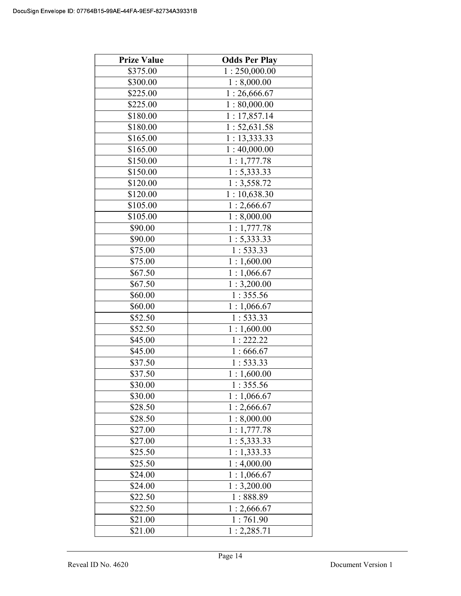| <b>Prize Value</b> | <b>Odds Per Play</b>      |
|--------------------|---------------------------|
| \$375.00           | 1:250,000.00              |
| \$300.00           | 1:8,000.00                |
| \$225.00           | 1:26,666.67               |
| \$225.00           | 1:80,000.00               |
| \$180.00           | 1:17,857.14               |
| \$180.00           | 1: 52, 631.58             |
| \$165.00           | 1: 13,333.33              |
| \$165.00           | 1:40,000.00               |
| \$150.00           | 1:1,777.78                |
| \$150.00           | 1: 5,333.33               |
| \$120.00           | 1:3,558.72                |
| \$120.00           | 1:10,638.30               |
| \$105.00           | 1:2,666.67                |
| \$105.00           | 1:8,000.00                |
| \$90.00            | 1:1,777.78                |
| \$90.00            | $\overline{1}$ : 5,333.33 |
| \$75.00            | 1:533.33                  |
| \$75.00            | 1:1,600.00                |
| \$67.50            | 1:1,066.67                |
| \$67.50            | 1:3,200.00                |
| \$60.00            | 1:355.56                  |
| \$60.00            | 1:1,066.67                |
| \$52.50            | 1:533.33                  |
| \$52.50            | 1:1,600.00                |
| \$45.00            | 1:222.22                  |
| \$45.00            | 1:666.67                  |
| \$37.50            | 1:533.33                  |
| \$37.50            | 1:1,600.00                |
| \$30.00            | 1:355.56                  |
| \$30.00            | 1:1,066.67                |
| \$28.50            | 1:2,666.67                |
| \$28.50            | 1:8,000.00                |
| \$27.00            | 1:1,777.78                |
| \$27.00            | 1: 5,333.33               |
| \$25.50            | 1:1,333.33                |
| \$25.50            | 1:4,000.00                |
| \$24.00            | 1:1,066.67                |
| \$24.00            | 1:3,200.00                |
| \$22.50            | 1:888.89                  |
| \$22.50            | 1:2,666.67                |
| \$21.00            | 1:761.90                  |
| \$21.00            | 1:2,285.71                |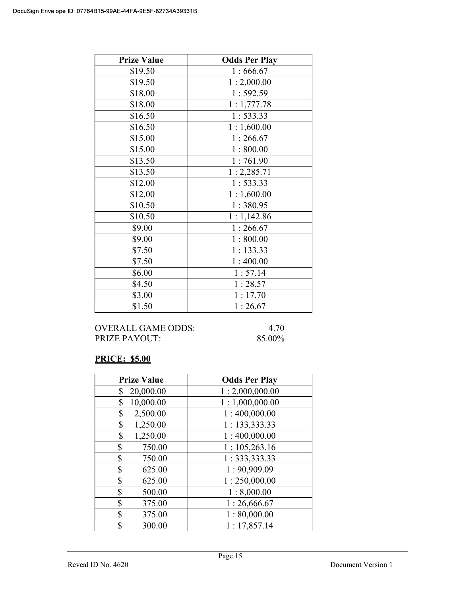| <b>Prize Value</b> | <b>Odds Per Play</b> |
|--------------------|----------------------|
| \$19.50            | 1:666.67             |
| \$19.50            | 1:2,000.00           |
| \$18.00            | 1:592.59             |
| \$18.00            | 1:1,777.78           |
| \$16.50            | 1:533.33             |
| \$16.50            | 1:1,600.00           |
| \$15.00            | 1:266.67             |
| \$15.00            | 1:800.00             |
| \$13.50            | 1:761.90             |
| \$13.50            | 1:2,285.71           |
| \$12.00            | 1:533.33             |
| \$12.00            | 1:1,600.00           |
| \$10.50            | 1:380.95             |
| \$10.50            | 1:1,142.86           |
| \$9.00             | 1:266.67             |
| \$9.00             | 1:800.00             |
| \$7.50             | 1:133.33             |
| \$7.50             | 1:400.00             |
| \$6.00             | 1:57.14              |
| \$4.50             | 1:28.57              |
| \$3.00             | 1:17.70              |
| \$1.50             | 1:26.67              |

OVERALL GAME ODDS: 4.70 PRIZE PAYOUT: 85.00%

## PRICE: \$5.00

| <b>Prize Value</b> | <b>Odds Per Play</b> |
|--------------------|----------------------|
| 20,000.00<br>\$    | 1:2,000,000.00       |
| 10,000.00<br>\$    | 1:1,000,000.00       |
| \$<br>2,500.00     | 1:400,000.00         |
| \$<br>1,250.00     | 1: 133,333.33        |
| \$<br>1,250.00     | 1:400,000.00         |
| \$<br>750.00       | 1:105,263.16         |
| \$<br>750.00       | 1: 333, 333.33       |
| \$<br>625.00       | 1:90,909.09          |
| \$<br>625.00       | 1:250,000.00         |
| \$<br>500.00       | 1:8,000.00           |
| \$<br>375.00       | 1:26,666.67          |
| \$<br>375.00       | 1:80,000.00          |
| \$<br>300.00       | 1:17,857.14          |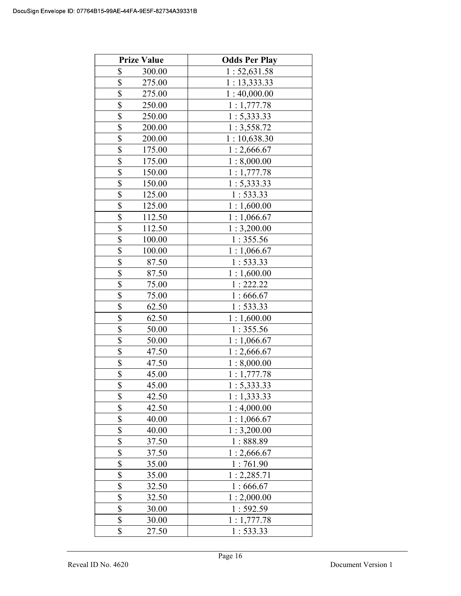| <b>Prize Value</b>               | <b>Odds Per Play</b> |
|----------------------------------|----------------------|
| \$<br>300.00                     | 1:52,631.58          |
| \$<br>275.00                     | 1:13,333.33          |
| \$<br>275.00                     | 1:40,000.00          |
| \$<br>250.00                     | 1:1,777.78           |
| $\overline{\$}$<br>250.00        | 1: 5,333.33          |
| \$<br>200.00                     | 1:3,558.72           |
| \$<br>200.00                     | 1:10,638.30          |
| \$<br>175.00                     | 1:2,666.67           |
| \$<br>175.00                     | 1:8,000.00           |
| \$<br>150.00                     | 1:1,777.78           |
| $\overline{\$}$<br>150.00        | 1: 5,333.33          |
| $\overline{\$}$<br>125.00        | 1: 533.33            |
| \$<br>125.00                     | 1:1,600.00           |
| \$<br>112.50                     | 1:1,066.67           |
| \$<br>112.50                     | 1:3,200.00           |
| \$<br>100.00                     | 1:355.56             |
| \$<br>100.00                     | 1:1,066.67           |
| \$<br>87.50                      | 1: 533.33            |
| \$<br>87.50                      | 1:1,600.00           |
| \$<br>75.00                      | 1:222.22             |
| \$<br>75.00                      | 1:666.67             |
| \$<br>62.50                      | 1: 533.33            |
| \$<br>62.50                      | 1:1,600.00           |
| \$<br>50.00                      | 1:355.56             |
| \$<br>50.00                      | 1:1,066.67           |
| \$<br>47.50                      | 1:2,666.67           |
| \$<br>47.50                      | 1:8,000.00           |
| \$<br>45.00                      | 1:1,777.78           |
| \$<br>45.00                      | 1: 5.333.33          |
| \$<br>42.50                      | 1:1,333.33           |
| \$<br>42.50                      | 1:4,000.00           |
| $\overline{\mathbb{S}}$<br>40.00 | 1:1,066.67           |
| $rac{1}{s}$<br>40.00             | 1:3,200.00           |
| 37.50                            | 1:888.89             |
| \$<br>37.50                      | 1:2,666.67           |
| \$<br>35.00                      | 1:761.90             |
| \$<br>35.00                      | 1:2,285.71           |
| \$<br>32.50                      | 1:666.67             |
| \$<br>32.50                      | 1:2,000.00           |
| \$<br>30.00                      | 1:592.59             |
| \$<br>30.00                      | 1:1,777.78           |
| \$<br>27.50                      | 1: 533.33            |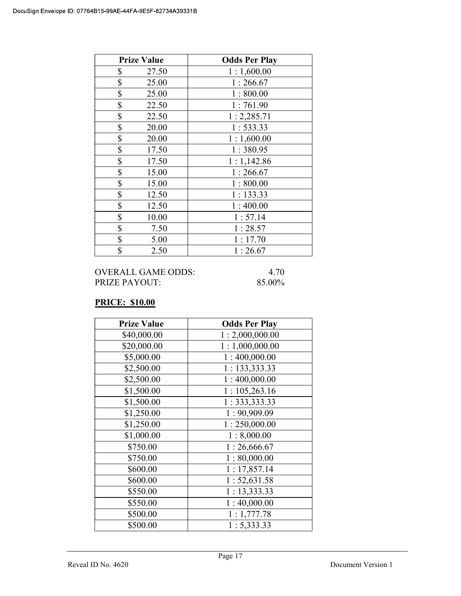| <b>Prize Value</b> | <b>Odds Per Play</b> |
|--------------------|----------------------|
| \$<br>27.50        | 1:1,600.00           |
| \$<br>25.00        | 1:266.67             |
| \$<br>25.00        | 1:800.00             |
| \$<br>22.50        | 1:761.90             |
| \$<br>22.50        | 1:2,285.71           |
| \$<br>20.00        | 1:533.33             |
| \$<br>20.00        | 1:1,600.00           |
| \$<br>17.50        | 1:380.95             |
| \$<br>17.50        | 1:1,142.86           |
| \$<br>15.00        | 1:266.67             |
| \$<br>15.00        | 1:800.00             |
| \$<br>12.50        | 1:133.33             |
| \$<br>12.50        | 1:400.00             |
| \$<br>10.00        | 1:57.14              |
| \$<br>7.50         | 1:28.57              |
| \$<br>5.00         | 1:17.70              |
| \$<br>2.50         | 1:26.67              |

### PRICE: \$10.00

| <b>Prize Value</b> | <b>Odds Per Play</b> |
|--------------------|----------------------|
| \$40,000.00        | 1:2,000,000.00       |
| \$20,000.00        | 1:1,000,000.00       |
| \$5,000.00         | 1:400,000.00         |
| \$2,500.00         | 1: 133,333.33        |
| \$2,500.00         | 1:400,000.00         |
| \$1,500.00         | 1:105,263.16         |
| \$1,500.00         | 1: 333, 333.33       |
| \$1,250.00         | 1:90,909.09          |
| \$1,250.00         | 1:250,000.00         |
| \$1,000.00         | 1:8,000.00           |
| \$750.00           | 1:26,666.67          |
| \$750.00           | 1:80,000.00          |
| \$600.00           | 1:17,857.14          |
| \$600.00           | 1:52,631.58          |
| \$550.00           | 1: 13,333.33         |
| \$550.00           | 1:40,000.00          |
| \$500.00           | 1:1,777.78           |
| \$500.00           | 1: 5,333.33          |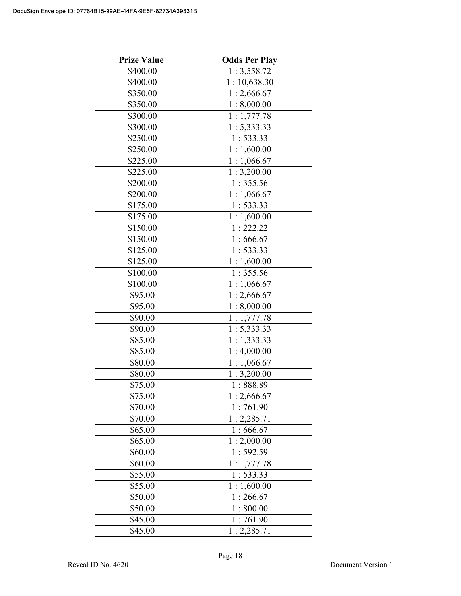| <b>Prize Value</b> | <b>Odds Per Play</b> |
|--------------------|----------------------|
| \$400.00           | 1:3,558.72           |
| \$400.00           | 1:10,638.30          |
| \$350.00           | 1:2,666.67           |
| \$350.00           | 1:8,000.00           |
| \$300.00           | 1:1,777.78           |
| \$300.00           | 1: 5,333.33          |
| \$250.00           | 1:533.33             |
| \$250.00           | 1:1,600.00           |
| \$225.00           | 1:1,066.67           |
| \$225.00           | 1:3,200.00           |
| \$200.00           | 1:355.56             |
| \$200.00           | 1:1,066.67           |
| \$175.00           | 1:533.33             |
| \$175.00           | 1:1,600.00           |
| \$150.00           | 1:222.22             |
| \$150.00           | 1:666.67             |
| \$125.00           | 1:533.33             |
| \$125.00           | 1:1,600.00           |
| \$100.00           | 1:355.56             |
| \$100.00           | 1:1,066.67           |
| \$95.00            | 1:2,666.67           |
| \$95.00            | 1:8,000.00           |
| \$90.00            | 1:1,777.78           |
| \$90.00            | 1: 5,333.33          |
| \$85.00            | 1:1,333.33           |
| \$85.00            | 1:4,000.00           |
| \$80.00            | 1:1,066.67           |
| \$80.00            | 1:3,200.00           |
| \$75.00            | 1:888.89             |
| \$75.00            | 1:2,666.67           |
| \$70.00            | 1:761.90             |
| \$70.00            | 1:2,285.71           |
| \$65.00            | 1:666.67             |
| \$65.00            | 1:2,000.00           |
| \$60.00            | 1:592.59             |
| \$60.00            | 1:1,777.78           |
| \$55.00            | 1:533.33             |
| \$55.00            | 1:1,600.00           |
| \$50.00            | 1:266.67             |
| \$50.00            | 1:800.00             |
| \$45.00            | 1:761.90             |
| \$45.00            | 1:2,285.71           |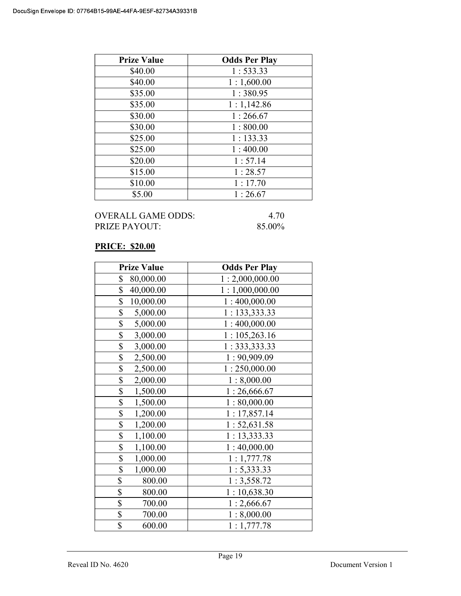| <b>Prize Value</b> | <b>Odds Per Play</b> |
|--------------------|----------------------|
| \$40.00            | 1:533.33             |
| \$40.00            | 1:1,600.00           |
| \$35.00            | 1:380.95             |
| \$35.00            | 1:1,142.86           |
| \$30.00            | 1:266.67             |
| \$30.00            | 1:800.00             |
| \$25.00            | 1:133.33             |
| \$25.00            | 1:400.00             |
| \$20.00            | 1:57.14              |
| \$15.00            | 1:28.57              |
| \$10.00            | 1:17.70              |
| \$5.00             | 1:26.67              |

### PRICE: \$20.00

| <b>Prize Value</b>          | <b>Odds Per Play</b> |
|-----------------------------|----------------------|
| \$<br>80,000.00             | 1:2,000,000.00       |
| \$<br>40,000.00             | 1:1,000,000.00       |
| \$<br>10,000.00             | 1:400,000.00         |
| \$<br>5,000.00              | 1: 133,333.33        |
| \$<br>5,000.00              | 1:400,000.00         |
| \$<br>3,000.00              | 1:105,263.16         |
| \$<br>3,000.00              | 1: 333, 333.33       |
| \$<br>2,500.00              | 1:90,909.09          |
| $\overline{\$}$<br>2,500.00 | 1:250,000.00         |
| \$<br>2,000.00              | 1:8,000.00           |
| \$<br>1,500.00              | 1:26,666.67          |
| \$<br>1,500.00              | 1:80,000.00          |
| \$<br>1,200.00              | 1:17,857.14          |
| \$<br>1,200.00              | 1:52,631.58          |
| \$<br>1,100.00              | 1:13,333.33          |
| \$<br>1,100.00              | 1:40,000.00          |
| \$<br>1,000.00              | 1:1,777.78           |
| \$<br>1,000.00              | 1: 5,333.33          |
| \$<br>800.00                | 1:3,558.72           |
| \$<br>800.00                | 1:10,638.30          |
| \$<br>700.00                | 1:2,666.67           |
| \$<br>700.00                | 1:8,000.00           |
| \$<br>600.00                | 1:1,777.78           |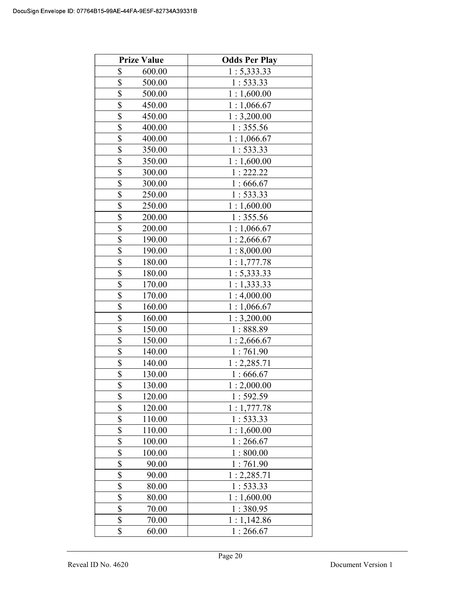|                         | <b>Prize Value</b> | <b>Odds Per Play</b> |
|-------------------------|--------------------|----------------------|
| \$                      | 600.00             | 1: 5,333.33          |
| \$                      | 500.00             | 1: 533.33            |
| $\overline{\$}$         | 500.00             | 1:1,600.00           |
| \$                      | 450.00             | 1:1,066.67           |
| $\overline{\$}$         | 450.00             | 1:3,200.00           |
| \$                      | 400.00             | 1:355.56             |
| \$                      | 400.00             | 1:1,066.67           |
| \$                      | 350.00             | 1:533.33             |
| \$                      | 350.00             | 1:1,600.00           |
| $\overline{\$}$         | 300.00             | 1:222.22             |
| \$                      | 300.00             | 1:666.67             |
| $\overline{\$}$         | 250.00             | 1:533.33             |
| \$                      | 250.00             | 1:1,600.00           |
| \$                      | 200.00             | 1:355.56             |
| \$                      | 200.00             | 1:1,066.67           |
| \$                      | 190.00             | 1:2,666.67           |
| \$                      | 190.00             | 1:8,000.00           |
| \$                      | 180.00             | 1:1,777.78           |
| \$                      | 180.00             | 1: 5,333.33          |
| \$                      | 170.00             | 1:1,333.33           |
| \$                      | 170.00             | 1:4,000.00           |
| \$                      | 160.00             | 1:1,066.67           |
| \$                      | 160.00             | 1:3,200.00           |
| \$                      | 150.00             | 1:888.89             |
| \$                      | 150.00             | 1:2,666.67           |
| \$                      | 140.00             | 1:761.90             |
| \$                      | 140.00             | 1:2,285.71           |
| \$                      | 130.00             | 1:666.67             |
| \$                      | 130.00             | 1:2,000.00           |
| \$                      | 120.00             | 1:592.59             |
| \$                      | 120.00             | 1:1,777.78           |
| $\overline{\mathbb{S}}$ | 110.00             | 1: 533.33            |
| \$                      | 110.00             | 1:1,600.00           |
| $\overline{\$}$         | 100.00             | 1:266.67             |
| \$                      | 100.00             | 1:800.00             |
| \$                      | 90.00              | 1:761.90             |
| \$                      | 90.00              | 1:2,285.71           |
| \$                      | 80.00              | 1: 533.33            |
| \$                      | 80.00              | 1:1,600.00           |
| \$                      | 70.00              | 1:380.95             |
| $\overline{\$}$         | 70.00              | 1:1,142.86           |
| \$                      | 60.00              | 1:266.67             |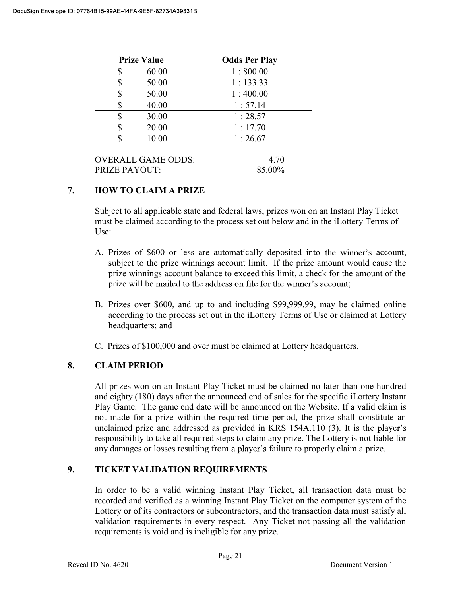| <b>Prize Value</b> |       | <b>Odds Per Play</b> |  |
|--------------------|-------|----------------------|--|
|                    | 60.00 | 1:800.00             |  |
|                    | 50.00 | 1:133.33             |  |
|                    | 50.00 | 1:400.00             |  |
|                    | 40.00 | 1:57.14              |  |
|                    | 30.00 | 1:28.57              |  |
|                    | 20.00 | 1:17.70              |  |
|                    | 10.00 | 1:26.67              |  |

| OVERALL GAME ODDS: | 4.70   |
|--------------------|--------|
| PRIZE PAYOUT:      | 85.00% |

## 7. HOW TO CLAIM A PRIZE

Subject to all applicable state and federal laws, prizes won on an Instant Play Ticket must be claimed according to the process set out below and in the iLottery Terms of Use:

- A. Prizes of \$600 or less are automatically deposited into the winner's account, subject to the prize winnings account limit. If the prize amount would cause the prize winnings account balance to exceed this limit, a check for the amount of the prize will be mailed to the address on file for the winner's account;
- B. Prizes over \$600, and up to and including \$99,999.99, may be claimed online according to the process set out in the iLottery Terms of Use or claimed at Lottery headquarters; and
- C. Prizes of \$100,000 and over must be claimed at Lottery headquarters.

## 8. CLAIM PERIOD

 All prizes won on an Instant Play Ticket must be claimed no later than one hundred and eighty (180) days after the announced end of sales for the specific iLottery Instant Play Game. The game end date will be announced on the Website. If a valid claim is not made for a prize within the required time period, the prize shall constitute an unclaimed prize and addressed as provided in KRS 154A.110 (3). It is th responsibility to take all required steps to claim any prize. The Lottery is not liable for any damages or losses resulting from a player's failure to properly claim a prize.

## 9. TICKET VALIDATION REQUIREMENTS

In order to be a valid winning Instant Play Ticket, all transaction data must be recorded and verified as a winning Instant Play Ticket on the computer system of the Lottery or of its contractors or subcontractors, and the transaction data must satisfy all validation requirements in every respect. Any Ticket not passing all the validation requirements is void and is ineligible for any prize.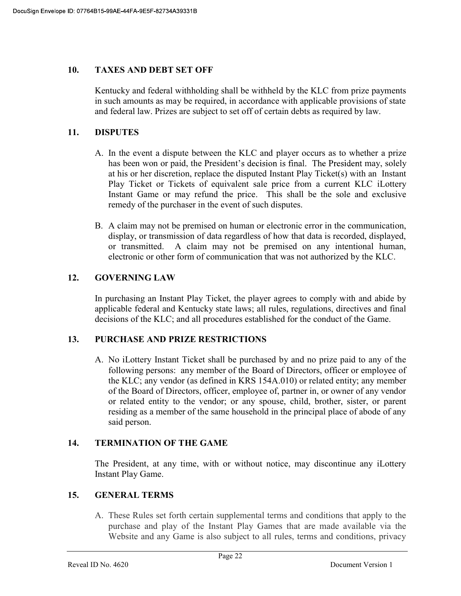#### 10. TAXES AND DEBT SET OFF

 Kentucky and federal withholding shall be withheld by the KLC from prize payments in such amounts as may be required, in accordance with applicable provisions of state and federal law. Prizes are subject to set off of certain debts as required by law.

### 11. DISPUTES

- A. In the event a dispute between the KLC and player occurs as to whether a prize has been won or paid, the President's decision is final. The President may, solely at his or her discretion, replace the disputed Instant Play Ticket(s) with an Instant Play Ticket or Tickets of equivalent sale price from a current KLC iLottery Instant Game or may refund the price. This shall be the sole and exclusive remedy of the purchaser in the event of such disputes.
- B. A claim may not be premised on human or electronic error in the communication, display, or transmission of data regardless of how that data is recorded, displayed, or transmitted. A claim may not be premised on any intentional human, electronic or other form of communication that was not authorized by the KLC.

### 12. GOVERNING LAW

 In purchasing an Instant Play Ticket, the player agrees to comply with and abide by applicable federal and Kentucky state laws; all rules, regulations, directives and final decisions of the KLC; and all procedures established for the conduct of the Game.

### 13. PURCHASE AND PRIZE RESTRICTIONS

A. No iLottery Instant Ticket shall be purchased by and no prize paid to any of the following persons: any member of the Board of Directors, officer or employee of the KLC; any vendor (as defined in KRS 154A.010) or related entity; any member of the Board of Directors, officer, employee of, partner in, or owner of any vendor or related entity to the vendor; or any spouse, child, brother, sister, or parent residing as a member of the same household in the principal place of abode of any said person.

## 14. TERMINATION OF THE GAME

The President, at any time, with or without notice, may discontinue any iLottery Instant Play Game.

### 15. GENERAL TERMS

A. These Rules set forth certain supplemental terms and conditions that apply to the purchase and play of the Instant Play Games that are made available via the Website and any Game is also subject to all rules, terms and conditions, privacy